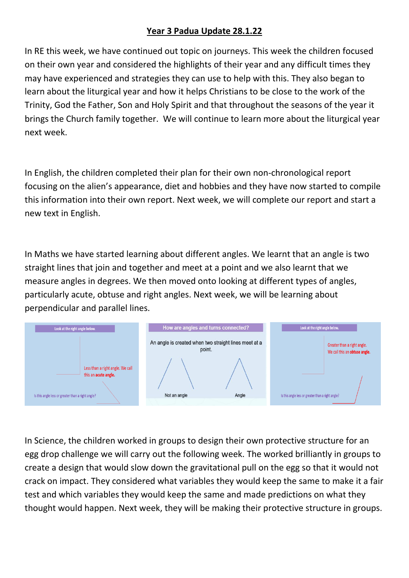## **Year 3 Padua Update 28.1.22**

In RE this week, we have continued out topic on journeys. This week the children focused on their own year and considered the highlights of their year and any difficult times they may have experienced and strategies they can use to help with this. They also began to learn about the liturgical year and how it helps Christians to be close to the work of the Trinity, God the Father, Son and Holy Spirit and that throughout the seasons of the year it brings the Church family together. We will continue to learn more about the liturgical year next week.

In English, the children completed their plan for their own non-chronological report focusing on the alien's appearance, diet and hobbies and they have now started to compile this information into their own report. Next week, we will complete our report and start a new text in English.

In Maths we have started learning about different angles. We learnt that an angle is two straight lines that join and together and meet at a point and we also learnt that we measure angles in degrees. We then moved onto looking at different types of angles, particularly acute, obtuse and right angles. Next week, we will be learning about perpendicular and parallel lines.



In Science, the children worked in groups to design their own protective structure for an egg drop challenge we will carry out the following week. The worked brilliantly in groups to create a design that would slow down the gravitational pull on the egg so that it would not crack on impact. They considered what variables they would keep the same to make it a fair test and which variables they would keep the same and made predictions on what they thought would happen. Next week, they will be making their protective structure in groups.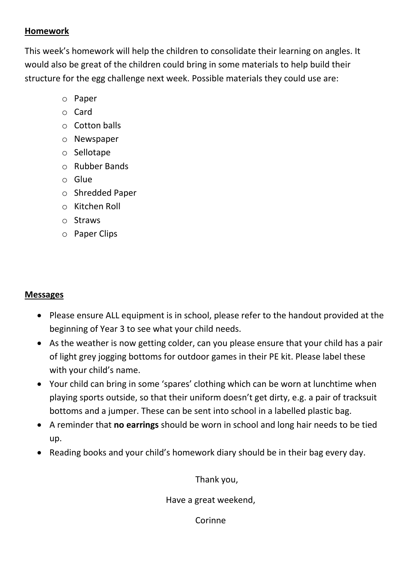## **Homework**

This week's homework will help the children to consolidate their learning on angles. It would also be great of the children could bring in some materials to help build their structure for the egg challenge next week. Possible materials they could use are:

- o Paper
- o Card
- o Cotton balls
- o Newspaper
- o Sellotape
- o Rubber Bands
- o Glue
- o Shredded Paper
- o Kitchen Roll
- o Straws
- o Paper Clips

## **Messages**

- Please ensure ALL equipment is in school, please refer to the handout provided at the beginning of Year 3 to see what your child needs.
- As the weather is now getting colder, can you please ensure that your child has a pair of light grey jogging bottoms for outdoor games in their PE kit. Please label these with your child's name.
- Your child can bring in some 'spares' clothing which can be worn at lunchtime when playing sports outside, so that their uniform doesn't get dirty, e.g. a pair of tracksuit bottoms and a jumper. These can be sent into school in a labelled plastic bag.
- A reminder that **no earrings** should be worn in school and long hair needs to be tied up.
- Reading books and your child's homework diary should be in their bag every day.

Thank you,

Have a great weekend,

Corinne